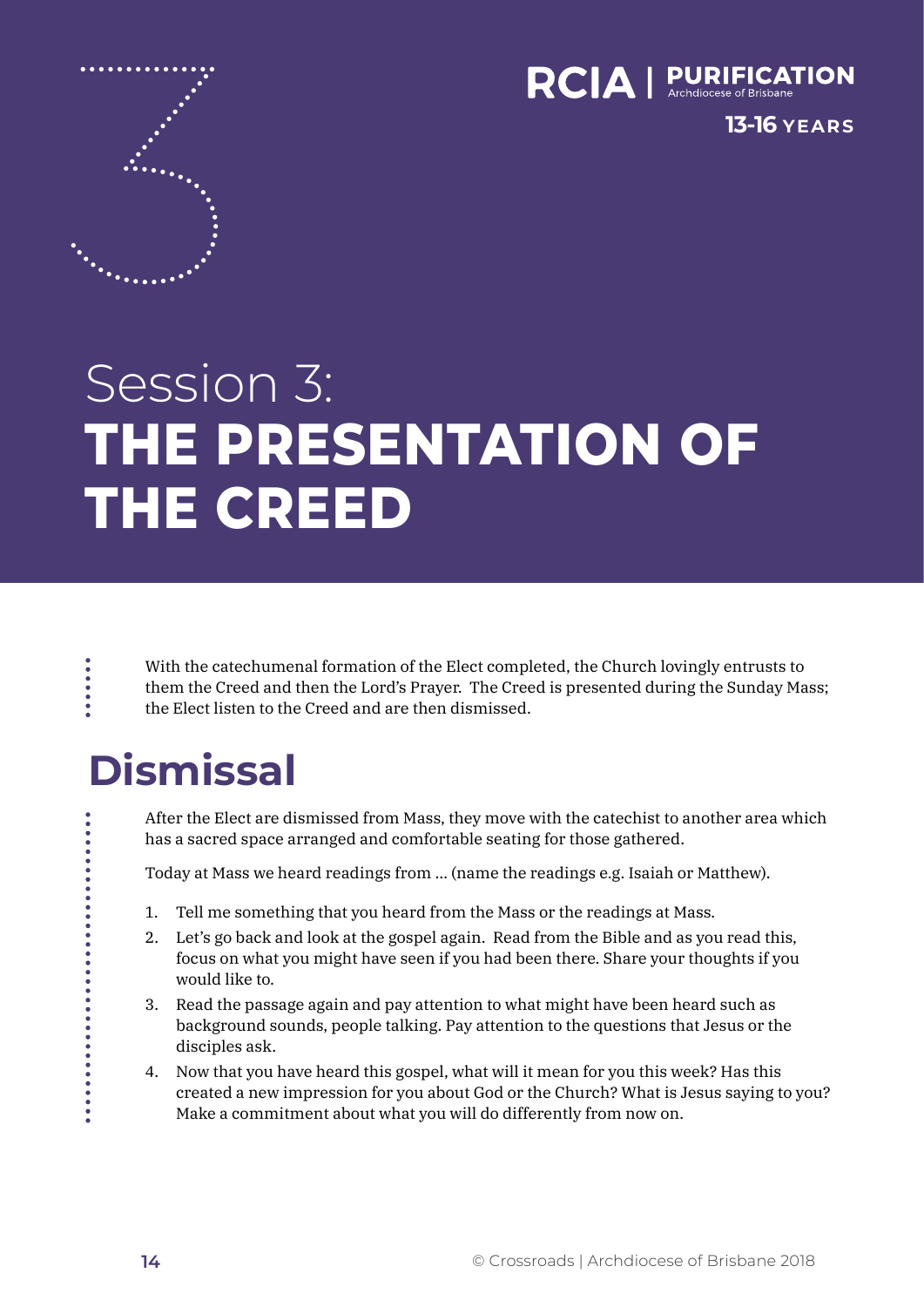

**13-16 YEARS**

# Session 3: **THE PRESENTATION OF THE CREED**

With the catechumenal formation of the Elect completed, the Church lovingly entrusts to them the Creed and then the Lord's Prayer. The Creed is presented during the Sunday Mass; the Elect listen to the Creed and are then dismissed.

### **Dismissal**

**......** 

After the Elect are dismissed from Mass, they move with the catechist to another area which has a sacred space arranged and comfortable seating for those gathered.

Today at Mass we heard readings from … (name the readings e.g. Isaiah or Matthew).

- 1. Tell me something that you heard from the Mass or the readings at Mass.
- 2. Let's go back and look at the gospel again. Read from the Bible and as you read this, focus on what you might have seen if you had been there. Share your thoughts if you would like to.
- 3. Read the passage again and pay attention to what might have been heard such as background sounds, people talking. Pay attention to the questions that Jesus or the disciples ask.
- 4. Now that you have heard this gospel, what will it mean for you this week? Has this created a new impression for you about God or the Church? What is Jesus saying to you? Make a commitment about what you will do differently from now on.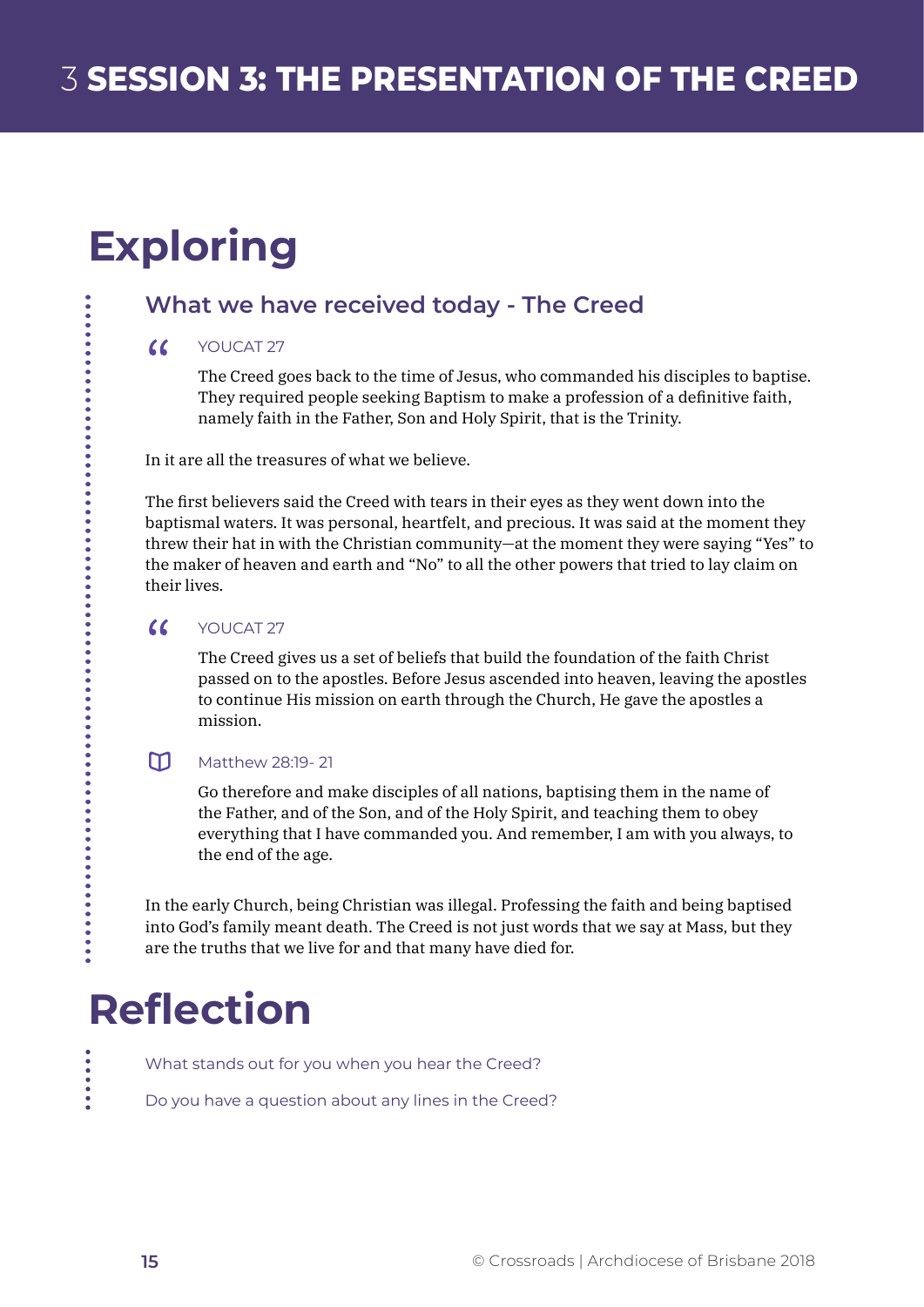## **Exploring**

### **What we have received today - The Creed**

#### $\alpha$ YOUCAT 27

The Creed goes back to the time of Jesus, who commanded his disciples to baptise. They required people seeking Baptism to make a profession of a definitive faith, namely faith in the Father, Son and Holy Spirit, that is the Trinity.

In it are all the treasures of what we believe.

The first believers said the Creed with tears in their eyes as they went down into the baptismal waters. It was personal, heartfelt, and precious. It was said at the moment they threw their hat in with the Christian community—at the moment they were saying "Yes" to the maker of heaven and earth and "No" to all the other powers that tried to lay claim on their lives.

#### $\alpha$ YOUCAT 27

The Creed gives us a set of beliefs that build the foundation of the faith Christ passed on to the apostles. Before Jesus ascended into heaven, leaving the apostles to continue His mission on earth through the Church, He gave the apostles a mission.

#### $m$ Matthew 28:19- 21

Go therefore and make disciples of all nations, baptising them in the name of the Father, and of the Son, and of the Holy Spirit, and teaching them to obey everything that I have commanded you. And remember, I am with you always, to the end of the age.

In the early Church, being Christian was illegal. Professing the faith and being baptised into God's family meant death. The Creed is not just words that we say at Mass, but they are the truths that we live for and that many have died for.

### **Reflection**

What stands out for you when you hear the Creed?

Do you have a question about any lines in the Creed?